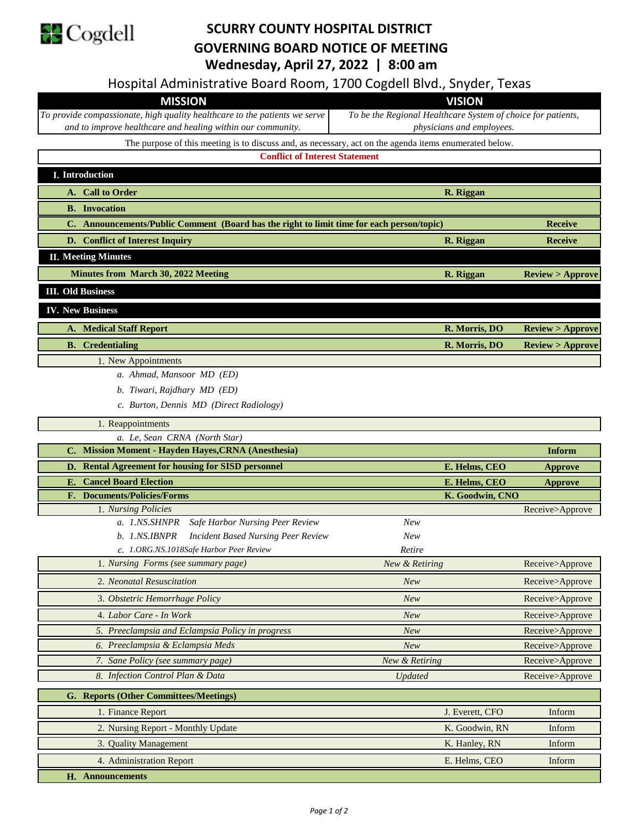

## **SCURRY COUNTY HOSPITAL DISTRICT GOVERNING BOARD NOTICE OF MEETING Wednesday, April 27, 2022 | 8:00 am**

Hospital Administrative Board Room, 1700 Cogdell Blvd., Snyder, Texas

| Hospital Administrative Board Room, 1700 Cogdell Bivd., Shyder, Texas                                  |                                                              |                            |
|--------------------------------------------------------------------------------------------------------|--------------------------------------------------------------|----------------------------|
| <b>MISSION</b>                                                                                         | <b>VISION</b>                                                |                            |
| To provide compassionate, high quality healthcare to the patients we serve                             | To be the Regional Healthcare System of choice for patients, |                            |
| and to improve healthcare and healing within our community.                                            | physicians and employees.                                    |                            |
| The purpose of this meeting is to discuss and, as necessary, act on the agenda items enumerated below. |                                                              |                            |
| <b>Conflict of Interest Statement</b>                                                                  |                                                              |                            |
| I. Introduction                                                                                        |                                                              |                            |
| <b>Call to Order</b><br>А.                                                                             | R. Riggan                                                    |                            |
| <b>B.</b> Invocation                                                                                   |                                                              |                            |
| C. Announcements/Public Comment (Board has the right to limit time for each person/topic)              |                                                              | <b>Receive</b>             |
| D. Conflict of Interest Inquiry                                                                        | R. Riggan                                                    | <b>Receive</b>             |
| <b>II. Meeting Minutes</b>                                                                             |                                                              |                            |
| <b>Minutes from March 30, 2022 Meeting</b>                                                             | R. Riggan                                                    | <b>Review &gt; Approve</b> |
| <b>III.</b> Old Business                                                                               |                                                              |                            |
| <b>IV. New Business</b>                                                                                |                                                              |                            |
| <b>Medical Staff Report</b>                                                                            | R. Morris, DO                                                | Review > Approve           |
| <b>B.</b> Credentialing                                                                                | R. Morris, DO                                                | Review > Approve           |
| 1. New Appointments                                                                                    |                                                              |                            |
| a. Ahmad, Mansoor MD (ED)                                                                              |                                                              |                            |
| b. Tiwari, Rajdhary MD (ED)                                                                            |                                                              |                            |
| c. Burton, Dennis MD (Direct Radiology)                                                                |                                                              |                            |
| 1. Reappointments                                                                                      |                                                              |                            |
|                                                                                                        |                                                              |                            |
|                                                                                                        |                                                              |                            |
| a. Le, Sean CRNA (North Star)<br>C. Mission Moment - Hayden Hayes, CRNA (Anesthesia)                   |                                                              | <b>Inform</b>              |
| D.                                                                                                     |                                                              |                            |
| <b>Rental Agreement for housing for SISD personnel</b><br><b>Cancel Board Election</b><br>Е.           | E. Helms, CEO<br>E. Helms, CEO                               | Approve                    |
| Documents/Policies/Forms<br>F.                                                                         | K. Goodwin, CNO                                              | <b>Approve</b>             |
| 1. Nursing Policies                                                                                    |                                                              | Receive>Approve            |
| Safe Harbor Nursing Peer Review<br>a. 1.NS.SHNPR                                                       | <b>New</b>                                                   |                            |
| b. 1.NS.IBNPR<br><b>Incident Based Nursing Peer Review</b>                                             | New                                                          |                            |
| c. 1.ORG.NS.1018Safe Harbor Peer Review                                                                | Retire                                                       |                            |
| 1. Nursing Forms (see summary page)                                                                    | New & Retiring                                               | Receive>Approve            |
| 2. Neonatal Resuscitation                                                                              | New                                                          | Receive>Approve            |
| 3. Obstetric Hemorrhage Policy                                                                         | New                                                          | Receive>Approve            |
| 4. Labor Care - In Work                                                                                | New                                                          | Receive>Approve            |
| 5. Preeclampsia and Eclampsia Policy in progress                                                       | <b>New</b>                                                   | Receive>Approve            |
| 6. Preeclampsia & Eclampsia Meds                                                                       | New                                                          | Receive>Approve            |
| 7. Sane Policy (see summary page)                                                                      | New & Retiring                                               | Receive>Approve            |
| 8. Infection Control Plan & Data                                                                       | <b>Updated</b>                                               | Receive>Approve            |
| G. Reports (Other Committees/Meetings)                                                                 |                                                              |                            |
| 1. Finance Report                                                                                      | J. Everett, CFO                                              | Inform                     |
| 2. Nursing Report - Monthly Update                                                                     | K. Goodwin, RN                                               | Inform                     |
| 3. Quality Management                                                                                  | K. Hanley, RN                                                | Inform                     |
| 4. Administration Report<br><b>H.</b> Announcements                                                    | E. Helms, CEO                                                | Inform                     |